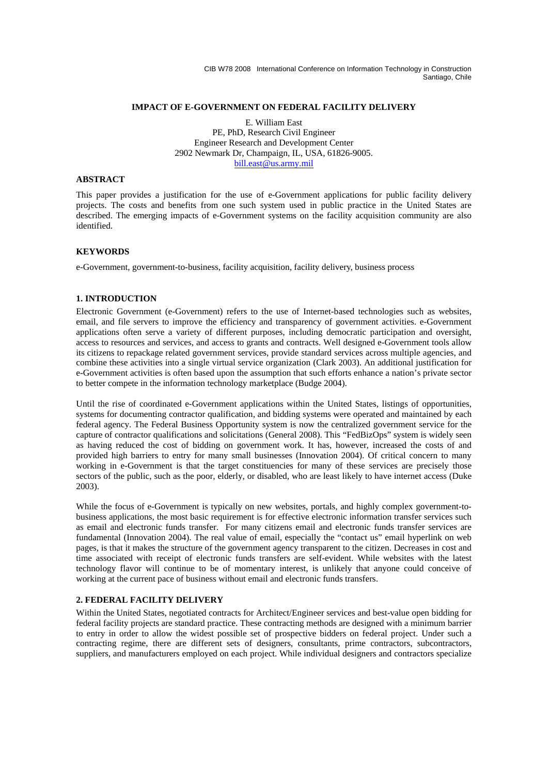CIB W78 2008 International Conference on Information Technology in Construction Santiago, Chile

### **IMPACT OF E-GOVERNMENT ON FEDERAL FACILITY DELIVERY**

E. William East PE, PhD, Research Civil Engineer Engineer Research and Development Center 2902 Newmark Dr, Champaign, IL, USA, 61826-9005. bill.east@us.army.mil

## **ABSTRACT**

This paper provides a justification for the use of e-Government applications for public facility delivery projects. The costs and benefits from one such system used in public practice in the United States are described. The emerging impacts of e-Government systems on the facility acquisition community are also identified.

#### **KEYWORDS**

e-Government, government-to-business, facility acquisition, facility delivery, business process

### **1. INTRODUCTION**

Electronic Government (e-Government) refers to the use of Internet-based technologies such as websites, email, and file servers to improve the efficiency and transparency of government activities. e-Government applications often serve a variety of different purposes, including democratic participation and oversight, access to resources and services, and access to grants and contracts. Well designed e-Government tools allow its citizens to repackage related government services, provide standard services across multiple agencies, and combine these activities into a single virtual service organization (Clark 2003). An additional justification for e-Government activities is often based upon the assumption that such efforts enhance a nation's private sector to better compete in the information technology marketplace (Budge 2004).

Until the rise of coordinated e-Government applications within the United States, listings of opportunities, systems for documenting contractor qualification, and bidding systems were operated and maintained by each federal agency. The Federal Business Opportunity system is now the centralized government service for the capture of contractor qualifications and solicitations (General 2008). This "FedBizOps" system is widely seen as having reduced the cost of bidding on government work. It has, however, increased the costs of and provided high barriers to entry for many small businesses (Innovation 2004). Of critical concern to many working in e-Government is that the target constituencies for many of these services are precisely those sectors of the public, such as the poor, elderly, or disabled, who are least likely to have internet access (Duke 2003).

While the focus of e-Government is typically on new websites, portals, and highly complex government-tobusiness applications, the most basic requirement is for effective electronic information transfer services such as email and electronic funds transfer. For many citizens email and electronic funds transfer services are fundamental (Innovation 2004). The real value of email, especially the "contact us" email hyperlink on web pages, is that it makes the structure of the government agency transparent to the citizen. Decreases in cost and time associated with receipt of electronic funds transfers are self-evident. While websites with the latest technology flavor will continue to be of momentary interest, is unlikely that anyone could conceive of working at the current pace of business without email and electronic funds transfers.

#### **2. FEDERAL FACILITY DELIVERY**

Within the United States, negotiated contracts for Architect/Engineer services and best-value open bidding for federal facility projects are standard practice. These contracting methods are designed with a minimum barrier to entry in order to allow the widest possible set of prospective bidders on federal project. Under such a contracting regime, there are different sets of designers, consultants, prime contractors, subcontractors, suppliers, and manufacturers employed on each project. While individual designers and contractors specialize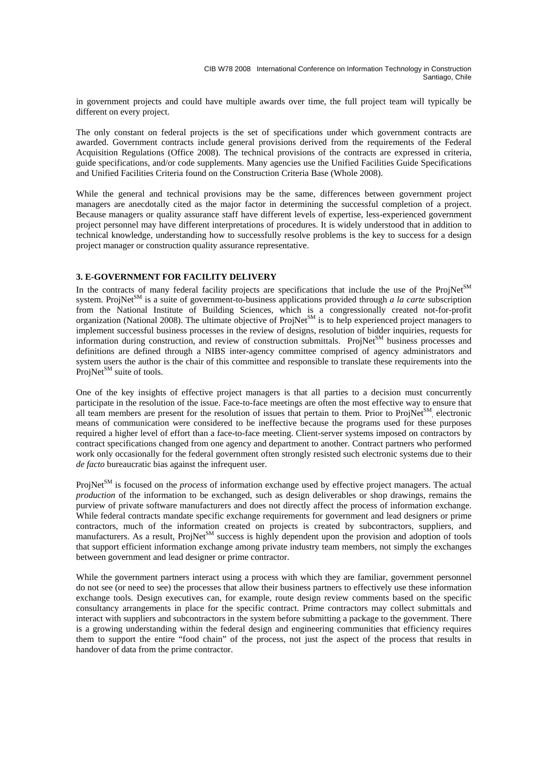in government projects and could have multiple awards over time, the full project team will typically be different on every project.

The only constant on federal projects is the set of specifications under which government contracts are awarded. Government contracts include general provisions derived from the requirements of the Federal Acquisition Regulations (Office 2008). The technical provisions of the contracts are expressed in criteria, guide specifications, and/or code supplements. Many agencies use the Unified Facilities Guide Specifications and Unified Facilities Criteria found on the Construction Criteria Base (Whole 2008).

While the general and technical provisions may be the same, differences between government project managers are anecdotally cited as the major factor in determining the successful completion of a project. Because managers or quality assurance staff have different levels of expertise, less-experienced government project personnel may have different interpretations of procedures. It is widely understood that in addition to technical knowledge, understanding how to successfully resolve problems is the key to success for a design project manager or construction quality assurance representative.

# **3. E-GOVERNMENT FOR FACILITY DELIVERY**

In the contracts of many federal facility projects are specifications that include the use of the ProjNet $^{SM}$ system. ProjNet<sup>SM</sup> is a suite of government-to-business applications provided through *a la carte* subscription from the National Institute of Building Sciences, which is a congressionally created not-for-profit organization (National 2008). The ultimate objective of ProjNet<sup>SM</sup> is to help experienced project managers to implement successful business processes in the review of designs, resolution of bidder inquiries, requests for information during construction, and review of construction submittals. ProjNet<sup>SM</sup> business processes and definitions are defined through a NIBS inter-agency committee comprised of agency administrators and system users the author is the chair of this committee and responsible to translate these requirements into the ProjNet<sup>SM</sup> suite of tools.

One of the key insights of effective project managers is that all parties to a decision must concurrently participate in the resolution of the issue. Face-to-face meetings are often the most effective way to ensure that all team members are present for the resolution of issues that pertain to them. Prior to ProjNet<sup>SM</sup>, electronic means of communication were considered to be ineffective because the programs used for these purposes required a higher level of effort than a face-to-face meeting. Client-server systems imposed on contractors by contract specifications changed from one agency and department to another. Contract partners who performed work only occasionally for the federal government often strongly resisted such electronic systems due to their *de facto* bureaucratic bias against the infrequent user.

ProjNet<sup>SM</sup> is focused on the *process* of information exchange used by effective project managers. The actual *production* of the information to be exchanged, such as design deliverables or shop drawings, remains the purview of private software manufacturers and does not directly affect the process of information exchange. While federal contracts mandate specific exchange requirements for government and lead designers or prime contractors, much of the information created on projects is created by subcontractors, suppliers, and manufacturers. As a result, ProjNet<sup>SM</sup> success is highly dependent upon the provision and adoption of tools that support efficient information exchange among private industry team members, not simply the exchanges between government and lead designer or prime contractor.

While the government partners interact using a process with which they are familiar, government personnel do not see (or need to see) the processes that allow their business partners to effectively use these information exchange tools. Design executives can, for example, route design review comments based on the specific consultancy arrangements in place for the specific contract. Prime contractors may collect submittals and interact with suppliers and subcontractors in the system before submitting a package to the government. There is a growing understanding within the federal design and engineering communities that efficiency requires them to support the entire "food chain" of the process, not just the aspect of the process that results in handover of data from the prime contractor.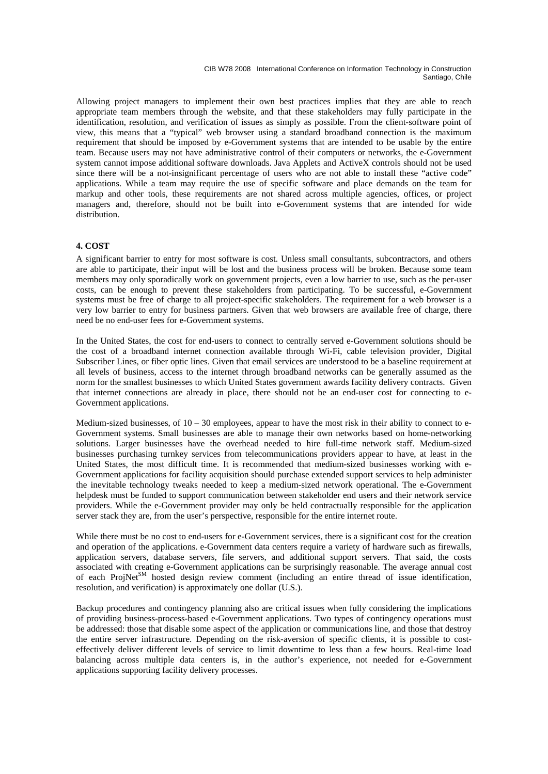CIB W78 2008 International Conference on Information Technology in Construction Santiago, Chile

Allowing project managers to implement their own best practices implies that they are able to reach appropriate team members through the website, and that these stakeholders may fully participate in the identification, resolution, and verification of issues as simply as possible. From the client-software point of view, this means that a "typical" web browser using a standard broadband connection is the maximum requirement that should be imposed by e-Government systems that are intended to be usable by the entire team. Because users may not have administrative control of their computers or networks, the e-Government system cannot impose additional software downloads. Java Applets and ActiveX controls should not be used since there will be a not-insignificant percentage of users who are not able to install these "active code" applications. While a team may require the use of specific software and place demands on the team for markup and other tools, these requirements are not shared across multiple agencies, offices, or project managers and, therefore, should not be built into e-Government systems that are intended for wide distribution.

#### **4. COST**

A significant barrier to entry for most software is cost. Unless small consultants, subcontractors, and others are able to participate, their input will be lost and the business process will be broken. Because some team members may only sporadically work on government projects, even a low barrier to use, such as the per-user costs, can be enough to prevent these stakeholders from participating. To be successful, e-Government systems must be free of charge to all project-specific stakeholders. The requirement for a web browser is a very low barrier to entry for business partners. Given that web browsers are available free of charge, there need be no end-user fees for e-Government systems.

In the United States, the cost for end-users to connect to centrally served e-Government solutions should be the cost of a broadband internet connection available through Wi-Fi, cable television provider, Digital Subscriber Lines, or fiber optic lines. Given that email services are understood to be a baseline requirement at all levels of business, access to the internet through broadband networks can be generally assumed as the norm for the smallest businesses to which United States government awards facility delivery contracts. Given that internet connections are already in place, there should not be an end-user cost for connecting to e-Government applications.

Medium-sized businesses, of  $10 - 30$  employees, appear to have the most risk in their ability to connect to e-Government systems. Small businesses are able to manage their own networks based on home-networking solutions. Larger businesses have the overhead needed to hire full-time network staff. Medium-sized businesses purchasing turnkey services from telecommunications providers appear to have, at least in the United States, the most difficult time. It is recommended that medium-sized businesses working with e-Government applications for facility acquisition should purchase extended support services to help administer the inevitable technology tweaks needed to keep a medium-sized network operational. The e-Government helpdesk must be funded to support communication between stakeholder end users and their network service providers. While the e-Government provider may only be held contractually responsible for the application server stack they are, from the user's perspective, responsible for the entire internet route.

While there must be no cost to end-users for e-Government services, there is a significant cost for the creation and operation of the applications. e-Government data centers require a variety of hardware such as firewalls, application servers, database servers, file servers, and additional support servers. That said, the costs associated with creating e-Government applications can be surprisingly reasonable. The average annual cost of each ProjNet<sup>SM</sup> hosted design review comment (including an entire thread of issue identification, resolution, and verification) is approximately one dollar (U.S.).

Backup procedures and contingency planning also are critical issues when fully considering the implications of providing business-process-based e-Government applications. Two types of contingency operations must be addressed: those that disable some aspect of the application or communications line, and those that destroy the entire server infrastructure. Depending on the risk-aversion of specific clients, it is possible to costeffectively deliver different levels of service to limit downtime to less than a few hours. Real-time load balancing across multiple data centers is, in the author's experience, not needed for e-Government applications supporting facility delivery processes.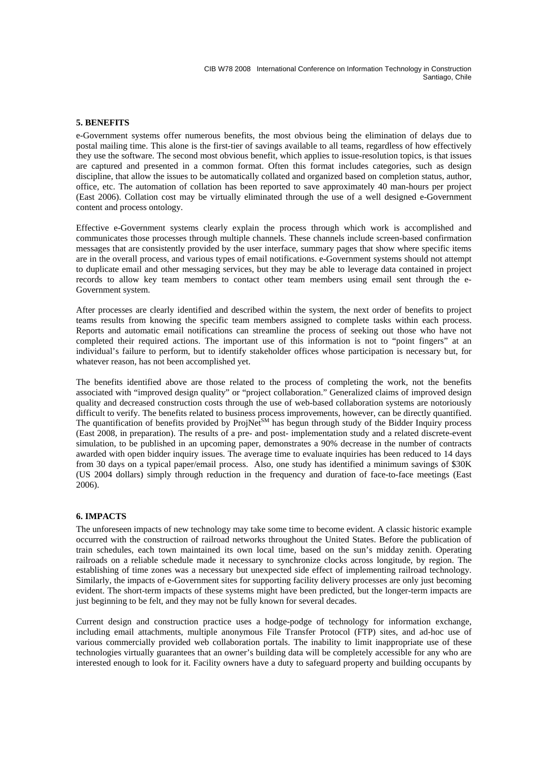# **5. BENEFITS**

e-Government systems offer numerous benefits, the most obvious being the elimination of delays due to postal mailing time. This alone is the first-tier of savings available to all teams, regardless of how effectively they use the software. The second most obvious benefit, which applies to issue-resolution topics, is that issues are captured and presented in a common format. Often this format includes categories, such as design discipline, that allow the issues to be automatically collated and organized based on completion status, author, office, etc. The automation of collation has been reported to save approximately 40 man-hours per project (East 2006). Collation cost may be virtually eliminated through the use of a well designed e-Government content and process ontology.

Effective e-Government systems clearly explain the process through which work is accomplished and communicates those processes through multiple channels. These channels include screen-based confirmation messages that are consistently provided by the user interface, summary pages that show where specific items are in the overall process, and various types of email notifications. e-Government systems should not attempt to duplicate email and other messaging services, but they may be able to leverage data contained in project records to allow key team members to contact other team members using email sent through the e-Government system.

After processes are clearly identified and described within the system, the next order of benefits to project teams results from knowing the specific team members assigned to complete tasks within each process. Reports and automatic email notifications can streamline the process of seeking out those who have not completed their required actions. The important use of this information is not to "point fingers" at an individual's failure to perform, but to identify stakeholder offices whose participation is necessary but, for whatever reason, has not been accomplished yet.

The benefits identified above are those related to the process of completing the work, not the benefits associated with "improved design quality" or "project collaboration." Generalized claims of improved design quality and decreased construction costs through the use of web-based collaboration systems are notoriously difficult to verify. The benefits related to business process improvements, however, can be directly quantified. The quantification of benefits provided by ProjNet<sup>SM</sup> has begun through study of the Bidder Inquiry process (East 2008, in preparation). The results of a pre- and post- implementation study and a related discrete-event simulation, to be published in an upcoming paper, demonstrates a 90% decrease in the number of contracts awarded with open bidder inquiry issues. The average time to evaluate inquiries has been reduced to 14 days from 30 days on a typical paper/email process. Also, one study has identified a minimum savings of \$30K (US 2004 dollars) simply through reduction in the frequency and duration of face-to-face meetings (East 2006).

# **6. IMPACTS**

The unforeseen impacts of new technology may take some time to become evident. A classic historic example occurred with the construction of railroad networks throughout the United States. Before the publication of train schedules, each town maintained its own local time, based on the sun's midday zenith. Operating railroads on a reliable schedule made it necessary to synchronize clocks across longitude, by region. The establishing of time zones was a necessary but unexpected side effect of implementing railroad technology. Similarly, the impacts of e-Government sites for supporting facility delivery processes are only just becoming evident. The short-term impacts of these systems might have been predicted, but the longer-term impacts are just beginning to be felt, and they may not be fully known for several decades.

Current design and construction practice uses a hodge-podge of technology for information exchange, including email attachments, multiple anonymous File Transfer Protocol (FTP) sites, and ad-hoc use of various commercially provided web collaboration portals. The inability to limit inappropriate use of these technologies virtually guarantees that an owner's building data will be completely accessible for any who are interested enough to look for it. Facility owners have a duty to safeguard property and building occupants by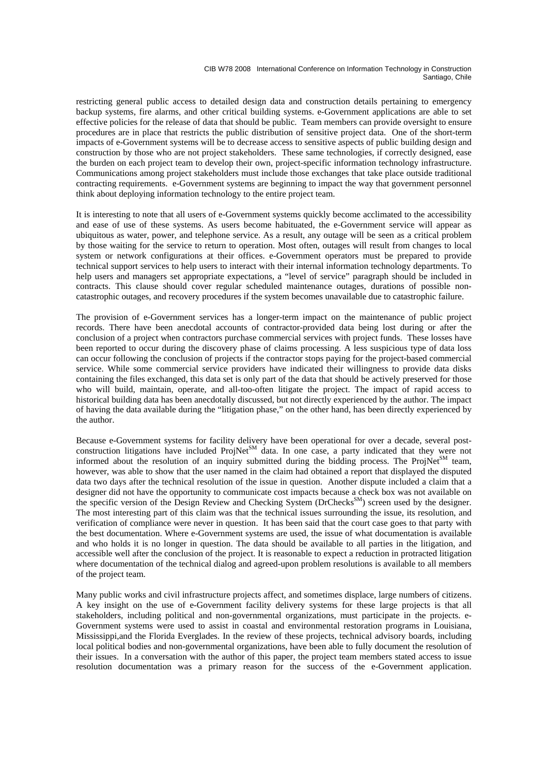CIB W78 2008 International Conference on Information Technology in Construction Santiago, Chile

restricting general public access to detailed design data and construction details pertaining to emergency backup systems, fire alarms, and other critical building systems. e-Government applications are able to set effective policies for the release of data that should be public. Team members can provide oversight to ensure procedures are in place that restricts the public distribution of sensitive project data. One of the short-term impacts of e-Government systems will be to decrease access to sensitive aspects of public building design and construction by those who are not project stakeholders. These same technologies, if correctly designed, ease the burden on each project team to develop their own, project-specific information technology infrastructure. Communications among project stakeholders must include those exchanges that take place outside traditional contracting requirements. e-Government systems are beginning to impact the way that government personnel think about deploying information technology to the entire project team.

It is interesting to note that all users of e-Government systems quickly become acclimated to the accessibility and ease of use of these systems. As users become habituated, the e-Government service will appear as ubiquitous as water, power, and telephone service. As a result, any outage will be seen as a critical problem by those waiting for the service to return to operation. Most often, outages will result from changes to local system or network configurations at their offices. e-Government operators must be prepared to provide technical support services to help users to interact with their internal information technology departments. To help users and managers set appropriate expectations, a "level of service" paragraph should be included in contracts. This clause should cover regular scheduled maintenance outages, durations of possible noncatastrophic outages, and recovery procedures if the system becomes unavailable due to catastrophic failure.

The provision of e-Government services has a longer-term impact on the maintenance of public project records. There have been anecdotal accounts of contractor-provided data being lost during or after the conclusion of a project when contractors purchase commercial services with project funds. These losses have been reported to occur during the discovery phase of claims processing. A less suspicious type of data loss can occur following the conclusion of projects if the contractor stops paying for the project-based commercial service. While some commercial service providers have indicated their willingness to provide data disks containing the files exchanged, this data set is only part of the data that should be actively preserved for those who will build, maintain, operate, and all-too-often litigate the project. The impact of rapid access to historical building data has been anecdotally discussed, but not directly experienced by the author. The impact of having the data available during the "litigation phase," on the other hand, has been directly experienced by the author.

Because e-Government systems for facility delivery have been operational for over a decade, several postconstruction litigations have included  $ProjNet<sup>SM</sup>$  data. In one case, a party indicated that they were not informed about the resolution of an inquiry submitted during the bidding process. The ProjNet<sup>SM</sup> team, however, was able to show that the user named in the claim had obtained a report that displayed the disputed data two days after the technical resolution of the issue in question. Another dispute included a claim that a designer did not have the opportunity to communicate cost impacts because a check box was not available on the specific version of the Design Review and Checking System (DrChecks<sup>SM</sup>) screen used by the designer. The most interesting part of this claim was that the technical issues surrounding the issue, its resolution, and verification of compliance were never in question. It has been said that the court case goes to that party with the best documentation. Where e-Government systems are used, the issue of what documentation is available and who holds it is no longer in question. The data should be available to all parties in the litigation, and accessible well after the conclusion of the project. It is reasonable to expect a reduction in protracted litigation where documentation of the technical dialog and agreed-upon problem resolutions is available to all members of the project team.

Many public works and civil infrastructure projects affect, and sometimes displace, large numbers of citizens. A key insight on the use of e-Government facility delivery systems for these large projects is that all stakeholders, including political and non-governmental organizations, must participate in the projects. e-Government systems were used to assist in coastal and environmental restoration programs in Louisiana, Mississippi,and the Florida Everglades. In the review of these projects, technical advisory boards, including local political bodies and non-governmental organizations, have been able to fully document the resolution of their issues. In a conversation with the author of this paper, the project team members stated access to issue resolution documentation was a primary reason for the success of the e-Government application.